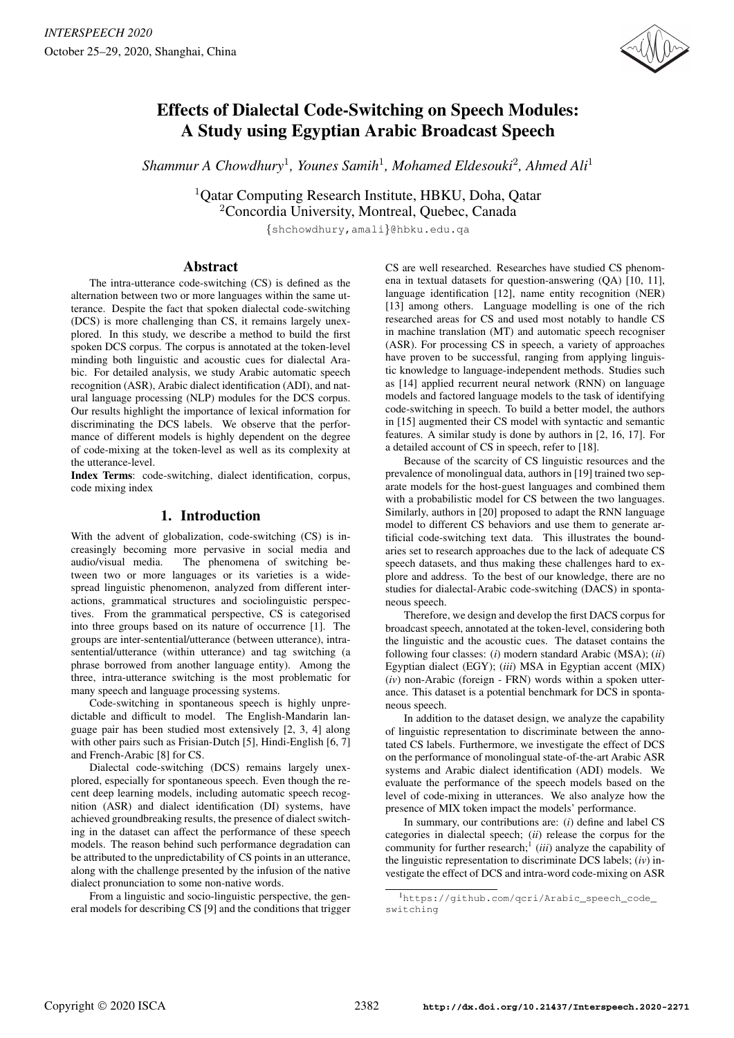

# Effects of Dialectal Code-Switching on Speech Modules: A Study using Egyptian Arabic Broadcast Speech

*Shammur A Chowdhury*<sup>1</sup> *, Younes Samih*<sup>1</sup> *, Mohamed Eldesouki*<sup>2</sup> *, Ahmed Ali*<sup>1</sup>

<sup>1</sup>Qatar Computing Research Institute, HBKU, Doha, Qatar

<sup>2</sup>Concordia University, Montreal, Quebec, Canada

{shchowdhury,amali}@hbku.edu.qa

# Abstract

The intra-utterance code-switching (CS) is defined as the alternation between two or more languages within the same utterance. Despite the fact that spoken dialectal code-switching (DCS) is more challenging than CS, it remains largely unexplored. In this study, we describe a method to build the first spoken DCS corpus. The corpus is annotated at the token-level minding both linguistic and acoustic cues for dialectal Arabic. For detailed analysis, we study Arabic automatic speech recognition (ASR), Arabic dialect identification (ADI), and natural language processing (NLP) modules for the DCS corpus. Our results highlight the importance of lexical information for discriminating the DCS labels. We observe that the performance of different models is highly dependent on the degree of code-mixing at the token-level as well as its complexity at the utterance-level.

Index Terms: code-switching, dialect identification, corpus, code mixing index

# 1. Introduction

With the advent of globalization, code-switching (CS) is increasingly becoming more pervasive in social media and audio/visual media. The phenomena of switching between two or more languages or its varieties is a widespread linguistic phenomenon, analyzed from different interactions, grammatical structures and sociolinguistic perspectives. From the grammatical perspective, CS is categorised into three groups based on its nature of occurrence [1]. The groups are inter-sentential/utterance (between utterance), intrasentential/utterance (within utterance) and tag switching (a phrase borrowed from another language entity). Among the three, intra-utterance switching is the most problematic for many speech and language processing systems.

Code-switching in spontaneous speech is highly unpredictable and difficult to model. The English-Mandarin language pair has been studied most extensively [2, 3, 4] along with other pairs such as Frisian-Dutch [5], Hindi-English [6, 7] and French-Arabic [8] for CS.

Dialectal code-switching (DCS) remains largely unexplored, especially for spontaneous speech. Even though the recent deep learning models, including automatic speech recognition (ASR) and dialect identification (DI) systems, have achieved groundbreaking results, the presence of dialect switching in the dataset can affect the performance of these speech models. The reason behind such performance degradation can be attributed to the unpredictability of CS points in an utterance, along with the challenge presented by the infusion of the native dialect pronunciation to some non-native words.

From a linguistic and socio-linguistic perspective, the general models for describing CS [9] and the conditions that trigger

CS are well researched. Researches have studied CS phenomena in textual datasets for question-answering (QA) [10, 11], language identification [12], name entity recognition (NER) [13] among others. Language modelling is one of the rich researched areas for CS and used most notably to handle CS in machine translation (MT) and automatic speech recogniser (ASR). For processing CS in speech, a variety of approaches have proven to be successful, ranging from applying linguistic knowledge to language-independent methods. Studies such as [14] applied recurrent neural network (RNN) on language models and factored language models to the task of identifying code-switching in speech. To build a better model, the authors in [15] augmented their CS model with syntactic and semantic features. A similar study is done by authors in [2, 16, 17]. For a detailed account of CS in speech, refer to [18].

Because of the scarcity of CS linguistic resources and the prevalence of monolingual data, authors in [19] trained two separate models for the host-guest languages and combined them with a probabilistic model for CS between the two languages. Similarly, authors in [20] proposed to adapt the RNN language model to different CS behaviors and use them to generate artificial code-switching text data. This illustrates the boundaries set to research approaches due to the lack of adequate CS speech datasets, and thus making these challenges hard to explore and address. To the best of our knowledge, there are no studies for dialectal-Arabic code-switching (DACS) in spontaneous speech.

Therefore, we design and develop the first DACS corpus for broadcast speech, annotated at the token-level, considering both the linguistic and the acoustic cues. The dataset contains the following four classes: (*i*) modern standard Arabic (MSA); (*ii*) Egyptian dialect (EGY); (*iii*) MSA in Egyptian accent (MIX) (*iv*) non-Arabic (foreign - FRN) words within a spoken utterance. This dataset is a potential benchmark for DCS in spontaneous speech.

In addition to the dataset design, we analyze the capability of linguistic representation to discriminate between the annotated CS labels. Furthermore, we investigate the effect of DCS on the performance of monolingual state-of-the-art Arabic ASR systems and Arabic dialect identification (ADI) models. We evaluate the performance of the speech models based on the level of code-mixing in utterances. We also analyze how the presence of MIX token impact the models' performance.

In summary, our contributions are: (*i*) define and label CS categories in dialectal speech; (*ii*) release the corpus for the community for further research;<sup>1</sup> (*iii*) analyze the capability of the linguistic representation to discriminate DCS labels; (*iv*) investigate the effect of DCS and intra-word code-mixing on ASR

<sup>1</sup>https://github.com/qcri/Arabic\_speech\_code\_ switching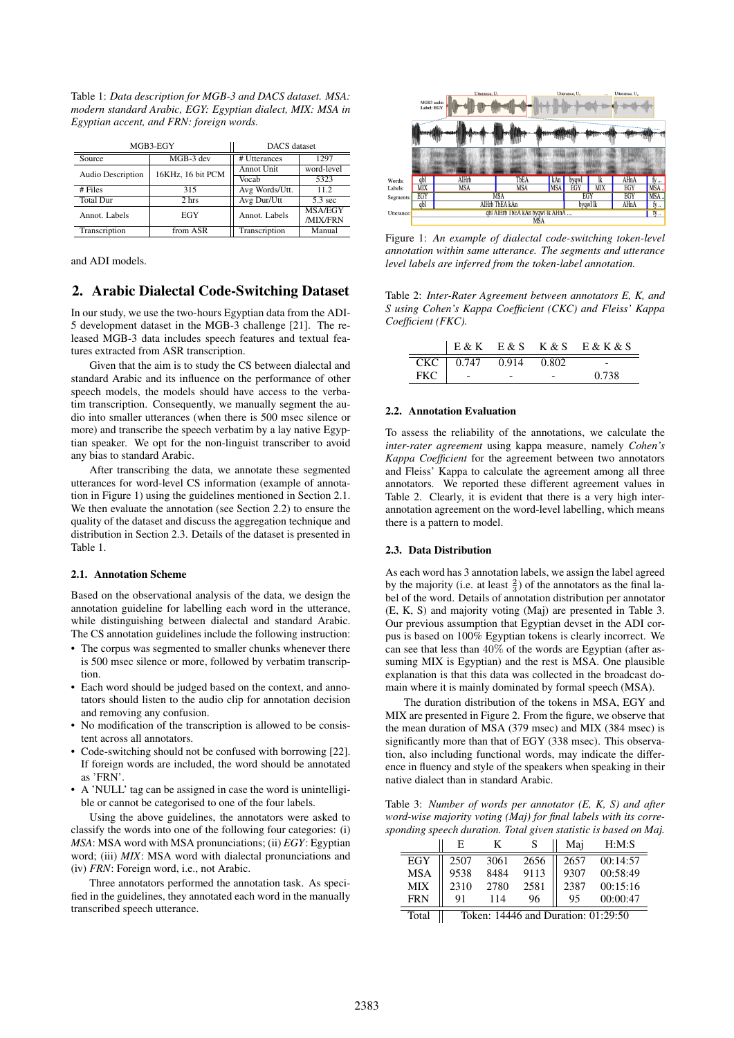Table 1: *Data description for MGB-3 and DACS dataset. MSA: modern standard Arabic, EGY: Egyptian dialect, MIX: MSA in Egyptian accent, and FRN: foreign words.*

| MGB3-EGY          |                   | <b>DACS</b> dataset |                   |
|-------------------|-------------------|---------------------|-------------------|
| Source            | MGB-3 dev         | # Utterances        | 1297              |
| Audio Description | 16KHz, 16 bit PCM | Annot Unit          | word-level        |
|                   |                   | Vocab               | 5323              |
| $#$ Files         | 315               | Avg Words/Utt.      | 112               |
| <b>Total Dur</b>  | 2 hrs             | Avg Dur/Utt         | $5.3 \text{ sec}$ |
| Annot. Labels     | EGY               | Annot. Labels       | <b>MSA/EGY</b>    |
|                   |                   |                     | /MIX/FRN          |
| Transcription     | from ASR          | Transcription       | Manual            |

and ADI models.

# 2. Arabic Dialectal Code-Switching Dataset

In our study, we use the two-hours Egyptian data from the ADI-5 development dataset in the MGB-3 challenge [21]. The released MGB-3 data includes speech features and textual features extracted from ASR transcription.

Given that the aim is to study the CS between dialectal and standard Arabic and its influence on the performance of other speech models, the models should have access to the verbatim transcription. Consequently, we manually segment the audio into smaller utterances (when there is 500 msec silence or more) and transcribe the speech verbatim by a lay native Egyptian speaker. We opt for the non-linguist transcriber to avoid any bias to standard Arabic.

After transcribing the data, we annotate these segmented utterances for word-level CS information (example of annotation in Figure 1) using the guidelines mentioned in Section 2.1. We then evaluate the annotation (see Section 2.2) to ensure the quality of the dataset and discuss the aggregation technique and distribution in Section 2.3. Details of the dataset is presented in Table 1.

#### 2.1. Annotation Scheme

Based on the observational analysis of the data, we design the annotation guideline for labelling each word in the utterance, while distinguishing between dialectal and standard Arabic. The CS annotation guidelines include the following instruction:

- The corpus was segmented to smaller chunks whenever there is 500 msec silence or more, followed by verbatim transcription.
- Each word should be judged based on the context, and annotators should listen to the audio clip for annotation decision and removing any confusion.
- No modification of the transcription is allowed to be consistent across all annotators.
- Code-switching should not be confused with borrowing [22]. If foreign words are included, the word should be annotated as 'FRN'.
- A 'NULL' tag can be assigned in case the word is unintelligible or cannot be categorised to one of the four labels.

Using the above guidelines, the annotators were asked to classify the words into one of the following four categories: (i) *MSA*: MSA word with MSA pronunciations; (ii) *EGY*: Egyptian word; (iii) *MIX*: MSA word with dialectal pronunciations and (iv) *FRN*: Foreign word, i.e., not Arabic.

Three annotators performed the annotation task. As specified in the guidelines, they annotated each word in the manually transcribed speech utterance.



Figure 1: *An example of dialectal code-switching token-level annotation within same utterance. The segments and utterance level labels are inferred from the token-label annotation.*

Table 2: *Inter-Rater Agreement between annotators E, K, and S using Cohen's Kappa Coefficient (CKC) and Fleiss' Kappa Coefficient (FKC).*

|     |                                   |       | $ E&K$ $E&S$ $K&S$ $E&K&S$ |
|-----|-----------------------------------|-------|----------------------------|
|     | $CKC$ $\boxed{0.747 \quad 0.914}$ | 0.802 |                            |
| FKC |                                   |       | 0.738                      |

#### 2.2. Annotation Evaluation

To assess the reliability of the annotations, we calculate the *inter-rater agreement* using kappa measure, namely *Cohen's Kappa Coefficient* for the agreement between two annotators and Fleiss' Kappa to calculate the agreement among all three annotators. We reported these different agreement values in Table 2. Clearly, it is evident that there is a very high interannotation agreement on the word-level labelling, which means there is a pattern to model.

#### 2.3. Data Distribution

As each word has 3 annotation labels, we assign the label agreed by the majority (i.e. at least  $\frac{2}{3}$ ) of the annotators as the final label of the word. Details of annotation distribution per annotator (E, K, S) and majority voting (Maj) are presented in Table 3. Our previous assumption that Egyptian devset in the ADI corpus is based on 100% Egyptian tokens is clearly incorrect. We can see that less than 40% of the words are Egyptian (after assuming MIX is Egyptian) and the rest is MSA. One plausible explanation is that this data was collected in the broadcast domain where it is mainly dominated by formal speech (MSA).

The duration distribution of the tokens in MSA, EGY and MIX are presented in Figure 2. From the figure, we observe that the mean duration of MSA (379 msec) and MIX (384 msec) is significantly more than that of EGY (338 msec). This observation, also including functional words, may indicate the difference in fluency and style of the speakers when speaking in their native dialect than in standard Arabic.

Table 3: *Number of words per annotator (E, K, S) and after word-wise majority voting (Maj) for final labels with its corresponding speech duration. Total given statistic is based on Maj.*

|            | Е                                   |      |      | Mai  | H:M:S    |
|------------|-------------------------------------|------|------|------|----------|
| EGY        | 2507                                | 3061 | 2656 | 2657 | 00:14:57 |
| <b>MSA</b> | 9538                                | 8484 | 9113 | 9307 | 00:58:49 |
| <b>MIX</b> | 2310                                | 2780 | 2581 | 2387 | 00:15:16 |
| <b>FRN</b> | 91                                  | 114  | 96   | 95   | 00:00:47 |
| Total      | Token: 14446 and Duration: 01:29:50 |      |      |      |          |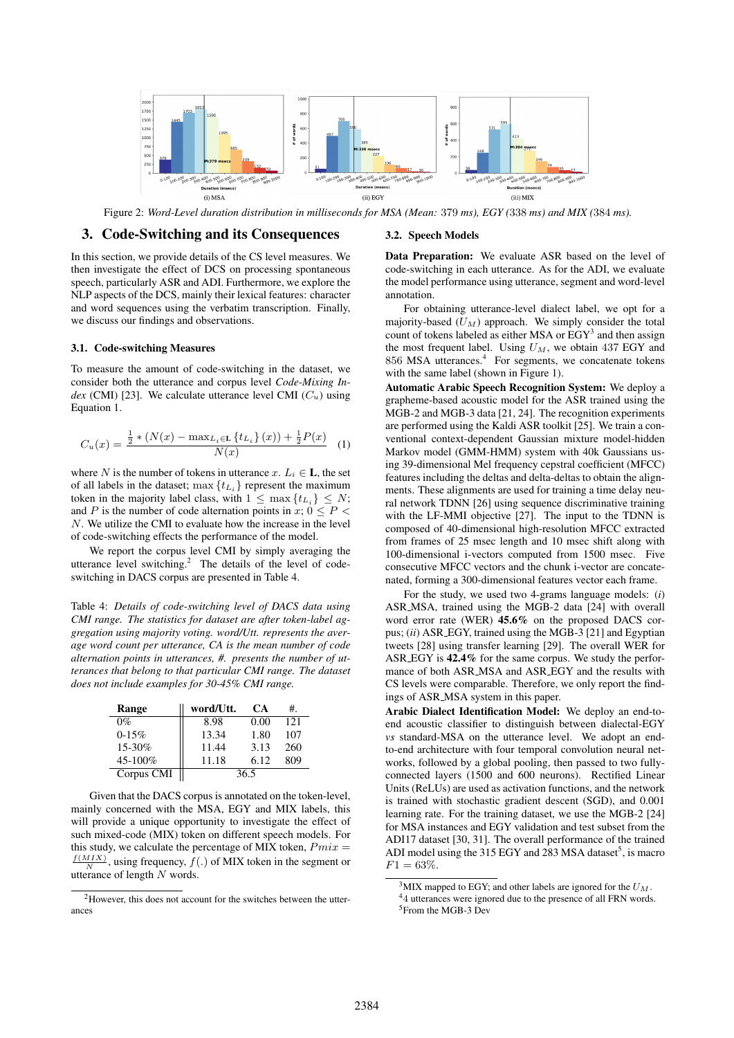

Figure 2: *Word-Level duration distribution in milliseconds for MSA (Mean:* 379 *ms), EGY (*338 *ms) and MIX (*384 *ms).*

## 3. Code-Switching and its Consequences

In this section, we provide details of the CS level measures. We then investigate the effect of DCS on processing spontaneous speech, particularly ASR and ADI. Furthermore, we explore the NLP aspects of the DCS, mainly their lexical features: character and word sequences using the verbatim transcription. Finally, we discuss our findings and observations.

#### 3.1. Code-switching Measures

To measure the amount of code-switching in the dataset, we consider both the utterance and corpus level *Code-Mixing Index* (CMI) [23]. We calculate utterance level CMI  $(C_u)$  using Equation 1.

$$
C_u(x) = \frac{\frac{1}{2} * (N(x) - \max_{L_i \in \mathbf{L}} \{t_{L_i}\}(x)) + \frac{1}{2}P(x)}{N(x)}
$$
(1)

where N is the number of tokens in utterance x.  $L_i \in \mathbf{L}$ , the set of all labels in the dataset; max  $\{t_{L_i}\}$  represent the maximum token in the majority label class, with  $1 \leq \max\{t_{L_i}\} \leq N$ ; and P is the number of code alternation points in  $x$ ;  $0 \leq P$ N. We utilize the CMI to evaluate how the increase in the level of code-switching effects the performance of the model.

We report the corpus level CMI by simply averaging the utterance level switching.<sup>2</sup> The details of the level of codeswitching in DACS corpus are presented in Table 4.

Table 4: *Details of code-switching level of DACS data using CMI range. The statistics for dataset are after token-label aggregation using majority voting. word/Utt. represents the average word count per utterance, CA is the mean number of code alternation points in utterances, #. presents the number of utterances that belong to that particular CMI range. The dataset does not include examples for 30-45% CMI range.*

| Range      | word/Utt. | CА   | #.  |
|------------|-----------|------|-----|
| $0\%$      | 8.98      | 0.00 | 121 |
| $0-15%$    | 13.34     | 1.80 | 107 |
| 15-30%     | 11.44     | 3.13 | 260 |
| 45-100%    | 11.18     | 6.12 | 809 |
| Corpus CMI |           | 36.5 |     |

Given that the DACS corpus is annotated on the token-level, mainly concerned with the MSA, EGY and MIX labels, this will provide a unique opportunity to investigate the effect of such mixed-code (MIX) token on different speech models. For this study, we calculate the percentage of MIX token,  $Pmix =$  $\frac{f(MIX)}{N}$ , using frequency,  $f(.)$  of MIX token in the segment or utterance of length N words.

#### 3.2. Speech Models

Data Preparation: We evaluate ASR based on the level of code-switching in each utterance. As for the ADI, we evaluate the model performance using utterance, segment and word-level annotation.

For obtaining utterance-level dialect label, we opt for a majority-based  $(U_M)$  approach. We simply consider the total count of tokens labeled as either MSA or  $EGY<sup>3</sup>$  and then assign the most frequent label. Using  $U_M$ , we obtain 437 EGY and 856 MSA utterances.<sup>4</sup> For segments, we concatenate tokens with the same label (shown in Figure 1).

Automatic Arabic Speech Recognition System: We deploy a grapheme-based acoustic model for the ASR trained using the MGB-2 and MGB-3 data [21, 24]. The recognition experiments are performed using the Kaldi ASR toolkit [25]. We train a conventional context-dependent Gaussian mixture model-hidden Markov model (GMM-HMM) system with 40k Gaussians using 39-dimensional Mel frequency cepstral coefficient (MFCC) features including the deltas and delta-deltas to obtain the alignments. These alignments are used for training a time delay neural network TDNN [26] using sequence discriminative training with the LF-MMI objective [27]. The input to the TDNN is composed of 40-dimensional high-resolution MFCC extracted from frames of 25 msec length and 10 msec shift along with 100-dimensional i-vectors computed from 1500 msec. Five consecutive MFCC vectors and the chunk i-vector are concatenated, forming a 300-dimensional features vector each frame.

For the study, we used two 4-grams language models: (*i*) ASR MSA, trained using the MGB-2 data [24] with overall word error rate (WER) 45.6% on the proposed DACS corpus; (*ii*) ASR EGY, trained using the MGB-3 [21] and Egyptian tweets [28] using transfer learning [29]. The overall WER for ASR EGY is 42.4% for the same corpus. We study the performance of both ASR\_MSA and ASR\_EGY and the results with CS levels were comparable. Therefore, we only report the findings of ASR MSA system in this paper.

Arabic Dialect Identification Model: We deploy an end-toend acoustic classifier to distinguish between dialectal-EGY *vs* standard-MSA on the utterance level. We adopt an endto-end architecture with four temporal convolution neural networks, followed by a global pooling, then passed to two fullyconnected layers (1500 and 600 neurons). Rectified Linear Units (ReLUs) are used as activation functions, and the network is trained with stochastic gradient descent (SGD), and 0.001 learning rate. For the training dataset, we use the MGB-2 [24] for MSA instances and EGY validation and test subset from the ADI17 dataset [30, 31]. The overall performance of the trained ADI model using the 315 EGY and 283 MSA dataset<sup>5</sup>, is macro  $F1 = 63\%.$ 

<sup>2</sup>However, this does not account for the switches between the utterances

<sup>&</sup>lt;sup>3</sup>MIX mapped to EGY; and other labels are ignored for the  $U_M$ . <sup>4</sup>4 utterances were ignored due to the presence of all FRN words. <sup>5</sup>From the MGB-3 Dev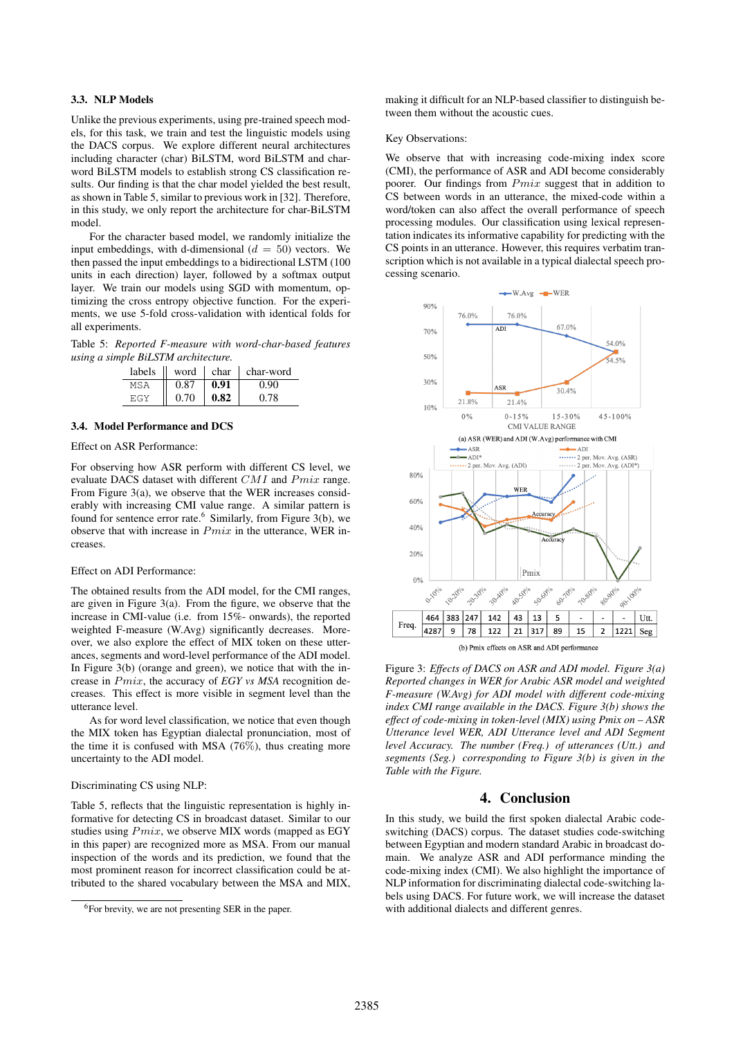### 3.3. NLP Models

Unlike the previous experiments, using pre-trained speech models, for this task, we train and test the linguistic models using the DACS corpus. We explore different neural architectures including character (char) BiLSTM, word BiLSTM and charword BiLSTM models to establish strong CS classification results. Our finding is that the char model yielded the best result, as shown in Table 5, similar to previous work in [32]. Therefore, in this study, we only report the architecture for char-BiLSTM model.

For the character based model, we randomly initialize the input embeddings, with d-dimensional  $(d = 50)$  vectors. We then passed the input embeddings to a bidirectional LSTM (100 units in each direction) layer, followed by a softmax output layer. We train our models using SGD with momentum, optimizing the cross entropy objective function. For the experiments, we use 5-fold cross-validation with identical folds for all experiments.

Table 5: *Reported F-measure with word-char-based features using a simple BiLSTM architecture.*

| labels | word | char | char-word |
|--------|------|------|-----------|
|        | 0.87 | 0.91 | 0.90      |
| EGY    | 0.70 | 0.82 | 0.78      |

# 3.4. Model Performance and DCS

#### Effect on ASR Performance:

For observing how ASR perform with different CS level, we evaluate DACS dataset with different  $CMI$  and  $Pmix$  range. From Figure 3(a), we observe that the WER increases considerably with increasing CMI value range. A similar pattern is found for sentence error rate.<sup>6</sup> Similarly, from Figure 3(b), we observe that with increase in  $Pmix$  in the utterance, WER increases.

#### Effect on ADI Performance:

The obtained results from the ADI model, for the CMI ranges, are given in Figure 3(a). From the figure, we observe that the increase in CMI-value (i.e. from 15%- onwards), the reported weighted F-measure (W.Avg) significantly decreases. Moreover, we also explore the effect of MIX token on these utterances, segments and word-level performance of the ADI model. In Figure 3(b) (orange and green), we notice that with the increase in Pmix, the accuracy of *EGY vs MSA* recognition decreases. This effect is more visible in segment level than the utterance level.

As for word level classification, we notice that even though the MIX token has Egyptian dialectal pronunciation, most of the time it is confused with MSA (76%), thus creating more uncertainty to the ADI model.

#### Discriminating CS using NLP:

Table 5, reflects that the linguistic representation is highly informative for detecting CS in broadcast dataset. Similar to our studies using  $Pmix$ , we observe MIX words (mapped as EGY in this paper) are recognized more as MSA. From our manual inspection of the words and its prediction, we found that the most prominent reason for incorrect classification could be attributed to the shared vocabulary between the MSA and MIX,

making it difficult for an NLP-based classifier to distinguish between them without the acoustic cues.

#### Key Observations:

We observe that with increasing code-mixing index score (CMI), the performance of ASR and ADI become considerably poorer. Our findings from Pmix suggest that in addition to CS between words in an utterance, the mixed-code within a word/token can also affect the overall performance of speech processing modules. Our classification using lexical representation indicates its informative capability for predicting with the CS points in an utterance. However, this requires verbatim transcription which is not available in a typical dialectal speech processing scenario.



Figure 3: *Effects of DACS on ASR and ADI model. Figure 3(a) Reported changes in WER for Arabic ASR model and weighted F-measure (W.Avg) for ADI model with different code-mixing index CMI range available in the DACS. Figure 3(b) shows the effect of code-mixing in token-level (MIX) using Pmix on – ASR Utterance level WER, ADI Utterance level and ADI Segment level Accuracy. The number (Freq.) of utterances (Utt.) and segments (Seg.) corresponding to Figure 3(b) is given in the Table with the Figure.*

# 4. Conclusion

In this study, we build the first spoken dialectal Arabic codeswitching (DACS) corpus. The dataset studies code-switching between Egyptian and modern standard Arabic in broadcast domain. We analyze ASR and ADI performance minding the code-mixing index (CMI). We also highlight the importance of NLP information for discriminating dialectal code-switching labels using DACS. For future work, we will increase the dataset with additional dialects and different genres.

<sup>6</sup>For brevity, we are not presenting SER in the paper.